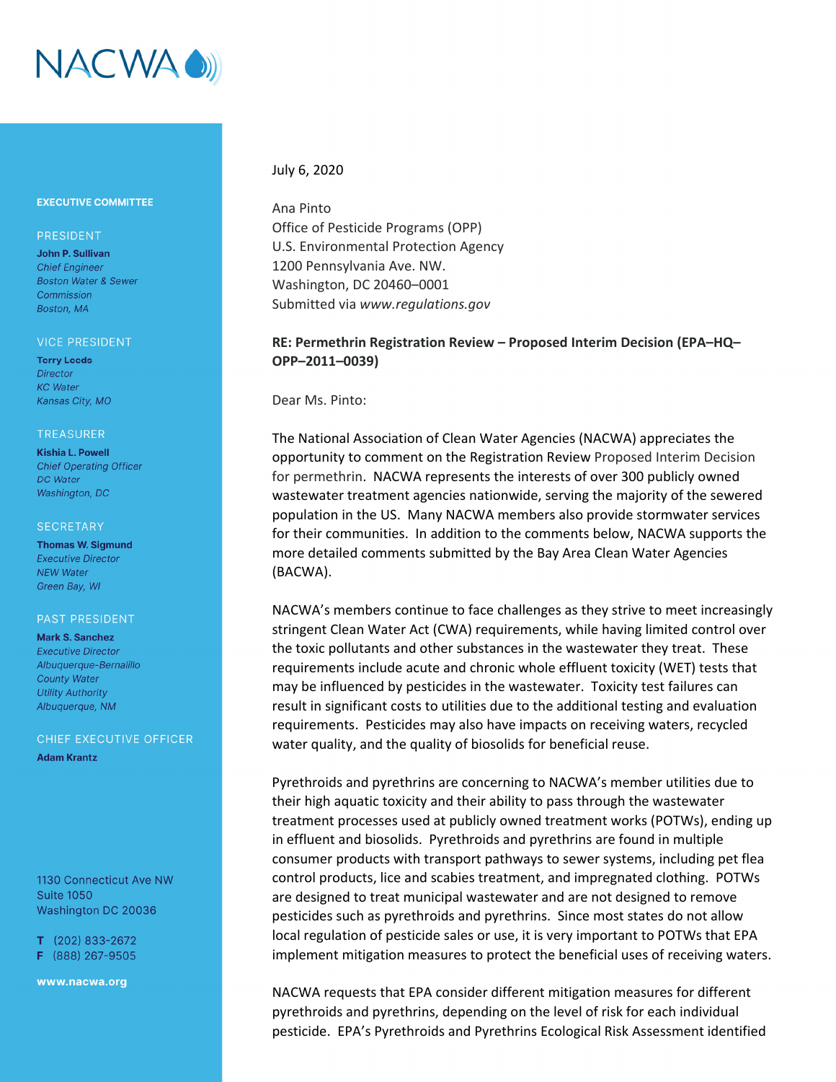

## **EXECUTIVE COMMITTEE**

## PRESIDENT

John P. Sullivan **Chief Engineer Boston Water & Sewer** Commission Boston, MA

#### **VICE PRESIDENT**

**Terry Leeds Director KC** Water Kansas City, MO

#### **TREASURER**

**Kishia L. Powell Chief Operating Officer DC** Water Washington, DC

#### **SECRETARY**

**Thomas W. Sigmund Executive Director NEW Water** Green Bay, WI

### **PAST PRESIDENT**

**Mark S. Sanchez Executive Director** Albuaueraue-Bernalillo **County Water Utility Authority** Albuquerque, NM

## CHIEF EXECUTIVE OFFICER

**Adam Krantz** 

1130 Connecticut Ave NW **Suite 1050** Washington DC 20036

 $T$  (202) 833-2672 F (888) 267-9505

www.nacwa.org

# July 6, 2020

Ana Pinto Office of Pesticide Programs (OPP) U.S. Environmental Protection Agency 1200 Pennsylvania Ave. NW. Washington, DC 20460–0001 Submitted via *www.regulations.gov*

# **RE: Permethrin Registration Review – Proposed Interim Decision (EPA–HQ– OPP–2011–0039)**

Dear Ms. Pinto:

The National Association of Clean Water Agencies (NACWA) appreciates the opportunity to comment on the Registration Review Proposed Interim Decision for permethrin. NACWA represents the interests of over 300 publicly owned wastewater treatment agencies nationwide, serving the majority of the sewered population in the US. Many NACWA members also provide stormwater services for their communities. In addition to the comments below, NACWA supports the more detailed comments submitted by the Bay Area Clean Water Agencies (BACWA).

NACWA's members continue to face challenges as they strive to meet increasingly stringent Clean Water Act (CWA) requirements, while having limited control over the toxic pollutants and other substances in the wastewater they treat. These requirements include acute and chronic whole effluent toxicity (WET) tests that may be influenced by pesticides in the wastewater. Toxicity test failures can result in significant costs to utilities due to the additional testing and evaluation requirements. Pesticides may also have impacts on receiving waters, recycled water quality, and the quality of biosolids for beneficial reuse.

Pyrethroids and pyrethrins are concerning to NACWA's member utilities due to their high aquatic toxicity and their ability to pass through the wastewater treatment processes used at publicly owned treatment works (POTWs), ending up in effluent and biosolids. Pyrethroids and pyrethrins are found in multiple consumer products with transport pathways to sewer systems, including pet flea control products, lice and scabies treatment, and impregnated clothing. POTWs are designed to treat municipal wastewater and are not designed to remove pesticides such as pyrethroids and pyrethrins. Since most states do not allow local regulation of pesticide sales or use, it is very important to POTWs that EPA implement mitigation measures to protect the beneficial uses of receiving waters.

NACWA requests that EPA consider different mitigation measures for different pyrethroids and pyrethrins, depending on the level of risk for each individual pesticide. EPA's Pyrethroids and Pyrethrins Ecological Risk Assessment identified